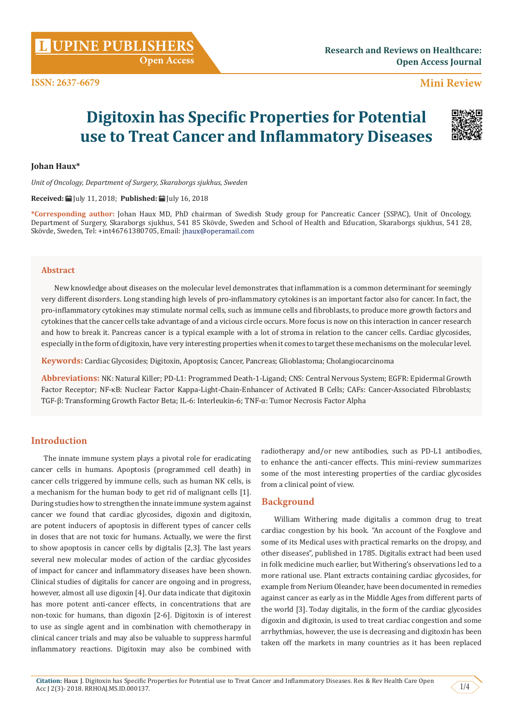**[UPINE PUBLISHERS](http://www.lupinepublishers.com/) L**

 **Mini Review**

# **Digitoxin has Specific Properties for Potential use to Treat Cancer and Inflammatory Diseases**



## **Johan Haux\***

*Unit of Oncology, Department of Surgery, Skaraborgs sjukhus, Sweden*

#### **Received:** July 11, 2018; **Published:** July 16, 2018

**\*Corresponding author:** Johan Haux MD, PhD chairman of Swedish Study group for Pancreatic Cancer (SSPAC), Unit of Oncology, Department of Surgery, Skaraborgs sjukhus, 541 85 Skövde, Sweden and School of Health and Education, Skaraborgs sjukhus, 541 28, Skövde, Sweden, Tel: +int46761380705, Email:

#### **Abstract**

New knowledge about diseases on the molecular level demonstrates that inflammation is a common determinant for seemingly very different disorders. Long standing high levels of pro-inflammatory cytokines is an important factor also for cancer. In fact, the pro-inflammatory cytokines may stimulate normal cells, such as immune cells and fibroblasts, to produce more growth factors and cytokines that the cancer cells take advantage of and a vicious circle occurs. More focus is now on this interaction in cancer research and how to break it. Pancreas cancer is a typical example with a lot of stroma in relation to the cancer cells. Cardiac glycosides, especially in the form of digitoxin, have very interesting properties when it comes to target these mechanisms on the molecular level.

**Keywords:** Cardiac Glycosides; Digitoxin, Apoptosis; Cancer, Pancreas; Glioblastoma; Cholangiocarcinoma

**Abbreviations:** NK: Natural Killer; PD-L1: Programmed Death-1-Ligand; CNS: Central Nervous System; EGFR: Epidermal Growth Factor Receptor; NF-κB: Nuclear Factor Kappa-Light-Chain-Enhancer of Activated B Cells; CAFs: Cancer-Associated Fibroblasts; TGF-β: Transforming Growth Factor Beta; IL-6: Interleukin-6; TNF-α: Tumor Necrosis Factor Alpha

# **Introduction**

The innate immune system plays a pivotal role for eradicating cancer cells in humans. Apoptosis (programmed cell death) in cancer cells triggered by immune cells, such as human NK cells, is a mechanism for the human body to get rid of malignant cells [1]. During studies how to strengthen the innate immune system against cancer we found that cardiac glycosides, digoxin and digitoxin, are potent inducers of apoptosis in different types of cancer cells in doses that are not toxic for humans. Actually, we were the first to show apoptosis in cancer cells by digitalis [2,3]. The last years several new molecular modes of action of the cardiac glycosides of impact for cancer and inflammatory diseases have been shown. Clinical studies of digitalis for cancer are ongoing and in progress, however, almost all use digoxin [4]. Our data indicate that digitoxin has more potent anti-cancer effects, in concentrations that are non-toxic for humans, than digoxin [2-6]. Digitoxin is of interest to use as single agent and in combination with chemotherapy in clinical cancer trials and may also be valuable to suppress harmful inflammatory reactions. Digitoxin may also be combined with

radiotherapy and/or new antibodies, such as PD-L1 antibodies, to enhance the anti-cancer effects. This mini-review summarizes some of the most interesting properties of the cardiac glycosides from a clinical point of view.

# **Background**

William Withering made digitalis a common drug to treat cardiac congestion by his book. "An account of the Foxglove and some of its Medical uses with practical remarks on the dropsy, and other diseases", published in 1785. Digitalis extract had been used in folk medicine much earlier, but Withering's observations led to a more rational use. Plant extracts containing cardiac glycosides, for example from Nerium Oleander, have been documented in remedies against cancer as early as in the Middle Ages from different parts of the world [3]. Today digitalis, in the form of the cardiac glycosides digoxin and digitoxin, is used to treat cardiac congestion and some arrhythmias, however, the use is decreasing and digitoxin has been taken off the markets in many countries as it has been replaced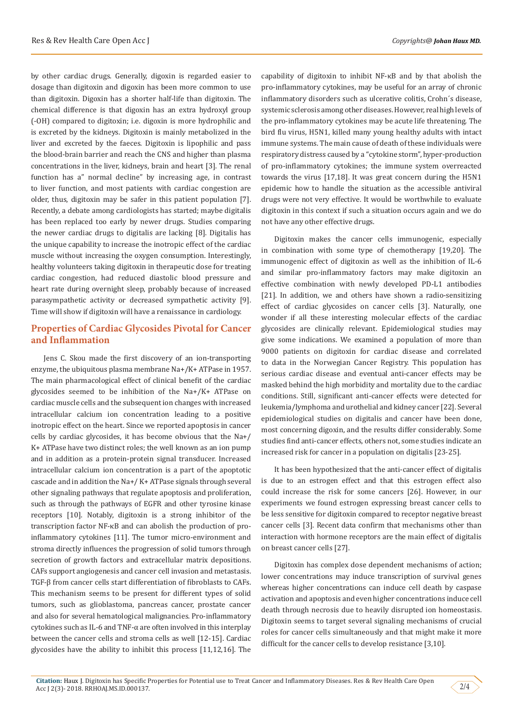by other cardiac drugs. Generally, digoxin is regarded easier to dosage than digitoxin and digoxin has been more common to use than digitoxin. Digoxin has a shorter half-life than digitoxin. The chemical difference is that digoxin has an extra hydroxyl group (-OH) compared to digitoxin; i.e. digoxin is more hydrophilic and is excreted by the kidneys. Digitoxin is mainly metabolized in the liver and excreted by the faeces. Digitoxin is lipophilic and pass the blood-brain barrier and reach the CNS and higher than plasma concentrations in the liver, kidneys, brain and heart [3]. The renal function has a" normal decline" by increasing age, in contrast to liver function, and most patients with cardiac congestion are older, thus, digitoxin may be safer in this patient population [7]. Recently, a debate among cardiologists has started; maybe digitalis has been replaced too early by newer drugs. Studies comparing the newer cardiac drugs to digitalis are lacking [8]. Digitalis has the unique capability to increase the inotropic effect of the cardiac muscle without increasing the oxygen consumption. Interestingly, healthy volunteers taking digitoxin in therapeutic dose for treating cardiac congestion, had reduced diastolic blood pressure and heart rate during overnight sleep, probably because of increased parasympathetic activity or decreased sympathetic activity [9]. Time will show if digitoxin will have a renaissance in cardiology.

# **Properties of Cardiac Glycosides Pivotal for Cancer and Inflammation**

Jens C. Skou made the first discovery of an ion-transporting enzyme, the ubiquitous plasma membrane Na+/K+ ATPase in 1957. The main pharmacological effect of clinical benefit of the cardiac glycosides seemed to be inhibition of the Na+/K+ ATPase on cardiac muscle cells and the subsequent ion changes with increased intracellular calcium ion concentration leading to a positive inotropic effect on the heart. Since we reported apoptosis in cancer cells by cardiac glycosides, it has become obvious that the Na+/ K+ ATPase have two distinct roles; the well known as an ion pump and in addition as a protein-protein signal transducer. Increased intracellular calcium ion concentration is a part of the apoptotic cascade and in addition the Na+/ K+ ATPase signals through several other signaling pathways that regulate apoptosis and proliferation, such as through the pathways of EGFR and other tyrosine kinase receptors [10]. Notably, digitoxin is a strong inhibitor of the transcription factor NF-κB and can abolish the production of proinflammatory cytokines [11]. The tumor micro-environment and stroma directly influences the progression of solid tumors through secretion of growth factors and extracellular matrix depositions. CAFs support angiogenesis and cancer cell invasion and metastasis. TGF-β from cancer cells start differentiation of fibroblasts to CAFs. This mechanism seems to be present for different types of solid tumors, such as glioblastoma, pancreas cancer, prostate cancer and also for several hematological malignancies. Pro-inflammatory cytokines such as IL-6 and TNF-α are often involved in this interplay between the cancer cells and stroma cells as well [12-15]. Cardiac glycosides have the ability to inhibit this process [11,12,16]. The

capability of digitoxin to inhibit NF-κB and by that abolish the pro-inflammatory cytokines, may be useful for an array of chronic inflammatory disorders such as ulcerative colitis, Crohn´s disease, systemic sclerosis among other diseases. However, real high levels of the pro-inflammatory cytokines may be acute life threatening. The bird flu virus, H5N1, killed many young healthy adults with intact immune systems. The main cause of death of these individuals were respiratory distress caused by a "cytokine storm", hyper-production of pro-inflammatory cytokines; the immune system overreacted towards the virus [17,18]. It was great concern during the H5N1 epidemic how to handle the situation as the accessible antiviral drugs were not very effective. It would be worthwhile to evaluate digitoxin in this context if such a situation occurs again and we do not have any other effective drugs.

Digitoxin makes the cancer cells immunogenic, especially in combination with some type of chemotherapy [19,20]. The immunogenic effect of digitoxin as well as the inhibition of IL-6 and similar pro-inflammatory factors may make digitoxin an effective combination with newly developed PD-L1 antibodies [21]. In addition, we and others have shown a radio-sensitizing effect of cardiac glycosides on cancer cells [3]. Naturally, one wonder if all these interesting molecular effects of the cardiac glycosides are clinically relevant. Epidemiological studies may give some indications. We examined a population of more than 9000 patients on digitoxin for cardiac disease and correlated to data in the Norwegian Cancer Registry. This population has serious cardiac disease and eventual anti-cancer effects may be masked behind the high morbidity and mortality due to the cardiac conditions. Still, significant anti-cancer effects were detected for leukemia/lymphoma and urothelial and kidney cancer [22]. Several epidemiological studies on digitalis and cancer have been done, most concerning digoxin, and the results differ considerably. Some studies find anti-cancer effects, others not, some studies indicate an increased risk for cancer in a population on digitalis [23-25].

It has been hypothesized that the anti-cancer effect of digitalis is due to an estrogen effect and that this estrogen effect also could increase the risk for some cancers [26]. However, in our experiments we found estrogen expressing breast cancer cells to be less sensitive for digitoxin compared to receptor negative breast cancer cells [3]. Recent data confirm that mechanisms other than interaction with hormone receptors are the main effect of digitalis on breast cancer cells [27].

Digitoxin has complex dose dependent mechanisms of action; lower concentrations may induce transcription of survival genes whereas higher concentrations can induce cell death by caspase activation and apoptosis and even higher concentrations induce cell death through necrosis due to heavily disrupted ion homeostasis. Digitoxin seems to target several signaling mechanisms of crucial roles for cancer cells simultaneously and that might make it more difficult for the cancer cells to develop resistance [3,10].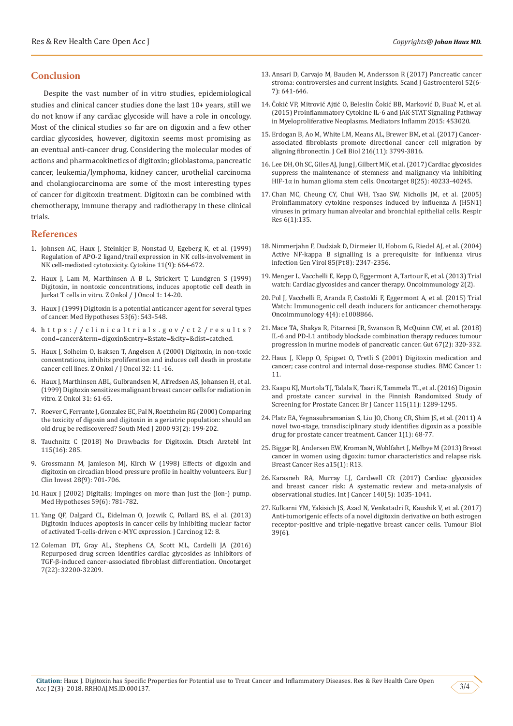# **Conclusion**

Despite the vast number of in vitro studies, epidemiological studies and clinical cancer studies done the last 10+ years, still we do not know if any cardiac glycoside will have a role in oncology. Most of the clinical studies so far are on digoxin and a few other cardiac glycosides, however, digitoxin seems most promising as an eventual anti-cancer drug. Considering the molecular modes of actions and pharmacokinetics of digitoxin; glioblastoma, pancreatic cancer, leukemia/lymphoma, kidney cancer, urothelial carcinoma and cholangiocarcinoma are some of the most interesting types of cancer for digitoxin treatment. Digitoxin can be combined with chemotherapy, immune therapy and radiotherapy in these clinical trials.

## **References**

- 1. [Johnsen AC, Haux J, Steinkjer B, Nonstad U, Egeberg K, et al. \(1999\)](https://www.ncbi.nlm.nih.gov/pubmed/10479402)  [Regulation of APO-2 ligand/trail expression in NK cells-involvement in](https://www.ncbi.nlm.nih.gov/pubmed/10479402)  [NK cell-mediated cytotoxicity. Cytokine 11\(9\): 664-672.](https://www.ncbi.nlm.nih.gov/pubmed/10479402)
- 2. Haux J, Lam M, Marthinsen A B L, Strickert T, Lundgren S (1999) Digitoxin, in nontoxic concentrations, induces apoptotic cell death in Jurkat T cells in vitro. Z Onkol / J Oncol 1: 14-20.
- 3. [Haux J \(1999\) Digitoxin is a potential anticancer agent for several types](https://www.ncbi.nlm.nih.gov/pubmed/10687899)  [of cancer. Med Hypotheses 53\(6\): 543-548.](https://www.ncbi.nlm.nih.gov/pubmed/10687899)
- 4. https://clinicaltrials.gov/ct2/results? cond=cancer&term=digoxin&cntry=&state=&city=&dist=catched.
- 5. Haux J, Solheim O, Isaksen T, Angelsen A (2000) Digitoxin, in non-toxic concentrations, inhibits proliferation and induces cell death in prostate cancer cell lines. Z Onkol / J Oncol 32: 11 -16.
- 6. Haux J, Marthinsen ABL, Gulbrandsen M, Alfredsen AS, Johansen H, et al. (1999) Digitoxin sensitizes malignant breast cancer cells for radiation in vitro. Z Onkol 31: 61-65.
- 7. [Roever C, Ferrante J, Gonzalez EC, Pal N, Roetzheim RG \(2000\) Comparing](https://www.ncbi.nlm.nih.gov/pubmed/10701788)  [the toxicity of digoxin and digitoxin in a geriatric population: should an](https://www.ncbi.nlm.nih.gov/pubmed/10701788)  [old drug be rediscovered? South Med J 2000 93\(2\): 199-202.](https://www.ncbi.nlm.nih.gov/pubmed/10701788)
- 8. [Tauchnitz C \(2018\) No Drawbacks for Digitoxin. Dtsch Arztebl Int](https://www.aerzteblatt.de/int/archive/article/197486/No-Drawbacks-for-Digitoxin)  [115\(16\): 285.](https://www.aerzteblatt.de/int/archive/article/197486/No-Drawbacks-for-Digitoxin)
- 9. [Grossmann M, Jamieson MJ, Kirch W \(1998\) Effects of digoxin and](https://www.ncbi.nlm.nih.gov/pubmed/9767368)  [digitoxin on circadian blood pressure profile in healthy volunteers. Eur J](https://www.ncbi.nlm.nih.gov/pubmed/9767368)  [Clin Invest 28\(9\): 701-706.](https://www.ncbi.nlm.nih.gov/pubmed/9767368)
- 10. [Haux J \(2002\) Digitalis; impinges on more than just the \(ion-\) pump.](https://www.ncbi.nlm.nih.gov/pubmed/12445525)  [Med Hypotheses 59\(6\): 781-782.](https://www.ncbi.nlm.nih.gov/pubmed/12445525)
- 11. [Yang QF, Dalgard CL, Eidelman O, Jozwik C, Pollard BS, el al. \(2013\)](https://www.ncbi.nlm.nih.gov/pubmed/23858296)  [Digitoxin induces apoptosis in cancer cells by inhibiting nuclear factor](https://www.ncbi.nlm.nih.gov/pubmed/23858296)  [of activated T-cells-driven c-MYC expression. J Carcinog 12: 8.](https://www.ncbi.nlm.nih.gov/pubmed/23858296)
- 12. [Coleman DT, Gray AL, Stephens CA, Scott ML, Cardelli JA \(2016\)](https://www.ncbi.nlm.nih.gov/pmc/articles/PMC5078007/)  [Repurposed drug screen identifies cardiac glycosides as inhibitors of](https://www.ncbi.nlm.nih.gov/pmc/articles/PMC5078007/)  [TGF-β-induced cancer-associated fibroblast differentiation. Oncotarget](https://www.ncbi.nlm.nih.gov/pmc/articles/PMC5078007/)  [7\(22\): 32200-32209.](https://www.ncbi.nlm.nih.gov/pmc/articles/PMC5078007/)
- 13. [Ansari D, Carvajo M, Bauden M, Andersson R \(2017\) Pancreatic cancer](https://www.ncbi.nlm.nih.gov/pubmed/28276831) [stroma: controversies and current insights. Scand J Gastroenterol 52\(6-](https://www.ncbi.nlm.nih.gov/pubmed/28276831) [7\): 641-646.](https://www.ncbi.nlm.nih.gov/pubmed/28276831)
- 14. Čokić VP, Mitrović Ajtić O, Beleslin Čoki[ć BB, Marković D, Buač](https://www.ncbi.nlm.nih.gov/pubmed/26491227) M, et al. [\(2015\) Proinflammatory Cytokine IL-6 and JAK-STAT Signaling Pathway](https://www.ncbi.nlm.nih.gov/pubmed/26491227) [in Myeloproliferative Neoplasms. Mediators Inflamm 2015: 453020.](https://www.ncbi.nlm.nih.gov/pubmed/26491227)
- 15. [Erdogan B, Ao M, White LM, Means AL, Brewer BM, et al. \(2017\) Cancer](https://www.ncbi.nlm.nih.gov/pubmed/29021221)[associated fibroblasts promote directional cancer cell migration by](https://www.ncbi.nlm.nih.gov/pubmed/29021221) [aligning fibronectin. J Cell Biol 216\(11\): 3799-3816.](https://www.ncbi.nlm.nih.gov/pubmed/29021221)
- 16. [Lee DH, Oh SC, Giles AJ, Jung J, Gilbert MK, et al. \(2017\) Cardiac glycosides](https://www.ncbi.nlm.nih.gov/pubmed/28410215) [suppress the maintenance of stemness and malignancy via inhibiting](https://www.ncbi.nlm.nih.gov/pubmed/28410215) HIF-1α [in human glioma stem cells. Oncotarget 8\(25\): 40233-40245.](https://www.ncbi.nlm.nih.gov/pubmed/28410215)
- 17. [Chan MC, Cheung CY, Chui WH, Tsao SW, Nicholls JM, et al. \(2005\)](https://www.ncbi.nlm.nih.gov/pmc/articles/PMC1318487/) [Proinflammatory cytokine responses induced by influenza A \(H5N1\)](https://www.ncbi.nlm.nih.gov/pmc/articles/PMC1318487/) [viruses in primary human alveolar and bronchial epithelial cells. Respir](https://www.ncbi.nlm.nih.gov/pmc/articles/PMC1318487/) [Res 6\(1\):135.](https://www.ncbi.nlm.nih.gov/pmc/articles/PMC1318487/)
- 18. [Nimmerjahn F, Dudziak D, Dirmeier U, Hobom G, Riedel AJ, et al. \(2004\)](https://www.ncbi.nlm.nih.gov/pubmed/15269376) [Active NF-kappa B signalling is a prerequisite for influenza virus](https://www.ncbi.nlm.nih.gov/pubmed/15269376) [infection Gen Virol 85\(Pt 8\): 2347-2356.](https://www.ncbi.nlm.nih.gov/pubmed/15269376)
- 19. [Menger L, Vacchelli E, Kepp O, Eggermont A, Tartour E, et al. \(2013\) Trial](https://www.ncbi.nlm.nih.gov/pubmed/23525565) [watch: Cardiac glycosides and cancer therapy. Oncoimmunology 2\(2\).](https://www.ncbi.nlm.nih.gov/pubmed/23525565)
- 20. [Pol J, Vacchelli E, Aranda F, Castoldi F, Eggermont A, et al. \(2015\) Trial](https://www.ncbi.nlm.nih.gov/pubmed/26137404) [Watch: Immunogenic cell death inducers for anticancer chemotherapy.](https://www.ncbi.nlm.nih.gov/pubmed/26137404) [Oncoimmunology 4\(4\): e1008866.](https://www.ncbi.nlm.nih.gov/pubmed/26137404)
- 21. [Mace TA, Shakya R, Pitarresi JR, Swanson B, McQuinn CW, et al. \(2018\)](https://www.ncbi.nlm.nih.gov/pubmed/27797936) [IL-6 and PD-L1 antibody blockade combination therapy reduces tumour](https://www.ncbi.nlm.nih.gov/pubmed/27797936) [progression in murine models of pancreatic cancer. Gut 67\(2\): 320-332.](https://www.ncbi.nlm.nih.gov/pubmed/27797936)
- 22. [Haux J, Klepp O, Spigset O, Tretli S \(2001\) Digitoxin medication and](https://www.ncbi.nlm.nih.gov/pmc/articles/PMC48150/) [cancer; case control and internal dose-response studies. BMC Cancer 1:](https://www.ncbi.nlm.nih.gov/pmc/articles/PMC48150/) [11.](https://www.ncbi.nlm.nih.gov/pmc/articles/PMC48150/)
- 23. [Kaapu KJ, Murtola TJ, Talala K, Taari K, Tammela TL, et al. \(2016\) Digoxin](https://www.ncbi.nlm.nih.gov/pmc/articles/PMC5129833/) [and prostate cancer survival in the Finnish Randomized Study of](https://www.ncbi.nlm.nih.gov/pmc/articles/PMC5129833/) [Screening for Prostate Cancer. Br J Cancer 115\(11\): 1289-1295.](https://www.ncbi.nlm.nih.gov/pmc/articles/PMC5129833/)
- 24. [Platz EA, Yegnasubramanian S, Liu JO, Chong CR, Shim JS, et al. \(2011\) A](https://www.ncbi.nlm.nih.gov/pubmed/22140654) [novel two-stage, transdisciplinary study identifies digoxin as a possible](https://www.ncbi.nlm.nih.gov/pubmed/22140654) [drug for prostate cancer treatment. Cancer 1\(1\): 68-77.](https://www.ncbi.nlm.nih.gov/pubmed/22140654)
- 25. [Biggar RJ, Andersen EW, Kroman N, Wohlfahrt J, Melbye M \(2013\) Breast](https://www.ncbi.nlm.nih.gov/pubmed/23421975) [cancer in women using digoxin: tumor characteristics and relapse risk.](https://www.ncbi.nlm.nih.gov/pubmed/23421975) [Breast Cancer Res a15\(1\): R13.](https://www.ncbi.nlm.nih.gov/pubmed/23421975)
- 26. [Karasneh RA, Murray LJ, Cardwell CR \(2017\) Cardiac glycosides](https://www.ncbi.nlm.nih.gov/pubmed/27861859) [and breast cancer risk: A systematic review and meta-analysis of](https://www.ncbi.nlm.nih.gov/pubmed/27861859) [observational studies. Int J Cancer 140\(5\): 1035-1041.](https://www.ncbi.nlm.nih.gov/pubmed/27861859)
- 27. [Kulkarni YM, Yakisich JS, Azad N, Venkatadri R, Kaushik V, et al. \(2017\)](https://www.ncbi.nlm.nih.gov/pubmed/28618929) [Anti-tumorigenic effects of a novel digitoxin derivative on both estrogen](https://www.ncbi.nlm.nih.gov/pubmed/28618929) [receptor-positive and triple-negative breast cancer cells. Tumour Biol](https://www.ncbi.nlm.nih.gov/pubmed/28618929) [39\(6\)](https://www.ncbi.nlm.nih.gov/pubmed/28618929).